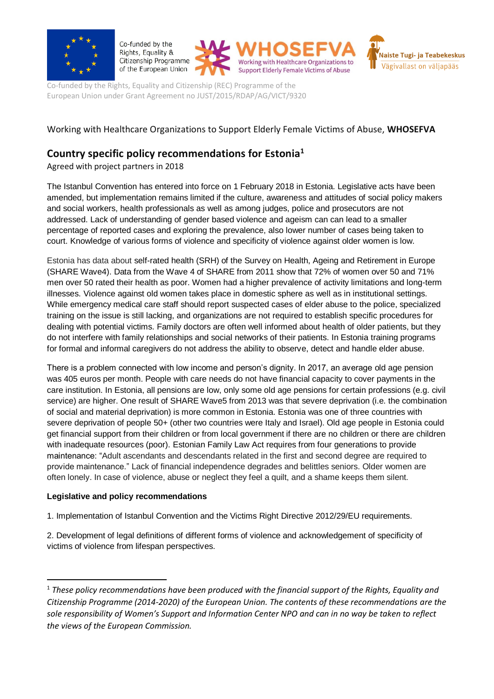

Co-funded by the Rights, Equality & Citizenship Programme of the European Union





Co-funded by the Rights, Equality and Citizenship (REC) Programme of the European Union under Grant Agreement no JUST/2015/RDAP/AG/VICT/9320

# Working with Healthcare Organizations to Support Elderly Female Victims of Abuse, **WHOSEFVA**

# **Country specific policy recommendations for Estonia<sup>1</sup>**

Agreed with project partners in 2018

The Istanbul Convention has entered into force on 1 February 2018 in Estonia. Legislative acts have been amended, but implementation remains limited if the culture, awareness and attitudes of social policy makers and social workers, health professionals as well as among judges, police and prosecutors are not addressed. Lack of understanding of gender based violence and ageism can can lead to a smaller percentage of reported cases and exploring the prevalence, also lower number of cases being taken to court. Knowledge of various forms of violence and specificity of violence against older women is low.

Estonia has data about self-rated health (SRH) of the Survey on Health, Ageing and Retirement in Europe (SHARE Wave4). Data from the Wave 4 of SHARE from 2011 show that 72% of women over 50 and 71% men over 50 rated their health as poor. Women had a higher prevalence of activity limitations and long-term illnesses. Violence against old women takes place in domestic sphere as well as in institutional settings. While emergency medical care staff should report suspected cases of elder abuse to the police, specialized training on the issue is still lacking, and organizations are not required to establish specific procedures for dealing with potential victims. Family doctors are often well informed about health of older patients, but they do not interfere with family relationships and social networks of their patients. In Estonia training programs for formal and informal caregivers do not address the ability to observe, detect and handle elder abuse.

There is a problem connected with low income and person's dignity. In 2017, an average old age pension was 405 euros per month. People with care needs do not have financial capacity to cover payments in the care institution. In Estonia, all pensions are low, only some old age pensions for certain professions (e.g. civil service) are higher. One result of SHARE Wave5 from 2013 was that severe deprivation (i.e. the combination of social and material deprivation) is more common in Estonia. Estonia was one of three countries with severe deprivation of people 50+ (other two countries were Italy and Israel). Old age people in Estonia could get financial support from their children or from local government if there are no children or there are children with inadequate resources (poor). Estonian Family Law Act requires from four generations to provide maintenance: "Adult ascendants and descendants related in the first and second degree are required to provide maintenance." Lack of financial independence degrades and belittles seniors. Older women are often lonely. In case of violence, abuse or neglect they feel a quilt, and a shame keeps them silent.

## **Legislative and policy recommendations**

**.** 

1. Implementation of Istanbul Convention and the Victims Right Directive 2012/29/EU requirements.

2. Development of legal definitions of different forms of violence and acknowledgement of specificity of victims of violence from lifespan perspectives.

<sup>1</sup> *These policy recommendations have been produced with the financial support of the Rights, Equality and Citizenship Programme (2014-2020) of the European Union. The contents of these recommendations are the sole responsibility of Women's Support and Information Center NPO and can in no way be taken to reflect the views of the European Commission.*